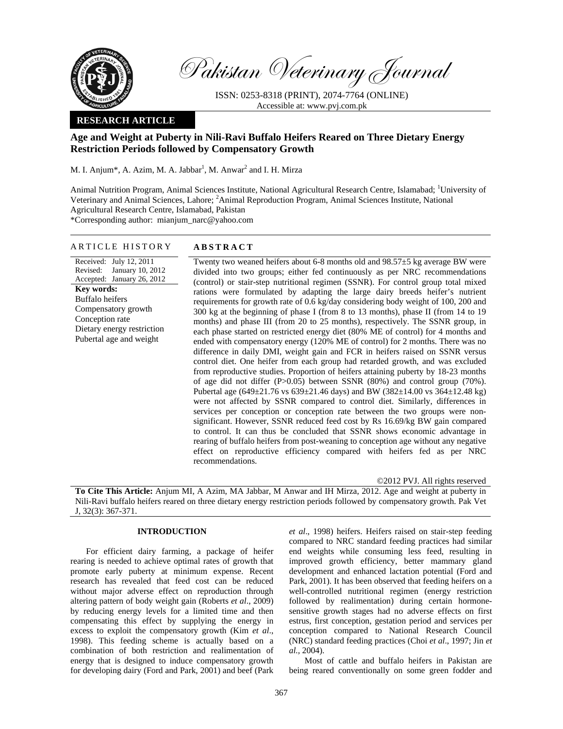

Pakistan Veterinary Journal

ISSN: 0253-8318 (PRINT), 2074-7764 (ONLINE) Accessible at: www.pvj.com.pk

## **RESEARCH ARTICLE**

# **Age and Weight at Puberty in Nili-Ravi Buffalo Heifers Reared on Three Dietary Energy Restriction Periods followed by Compensatory Growth**

M. I. Anjum\*, A. Azim, M. A. Jabbar<sup>1</sup>, M. Anwar<sup>2</sup> and I. H. Mirza

Animal Nutrition Program, Animal Sciences Institute, National Agricultural Research Centre, Islamabad; <sup>1</sup>University of Veterinary and Animal Sciences, Lahore; <sup>2</sup>Animal Reproduction Program, Animal Sciences Institute, National Agricultural Research Centre, Islamabad, Pakistan \*Corresponding author: mianjum\_narc@yahoo.com

## ARTICLE HISTORY **ABSTRACT**

Received: July 12, 2011 Revised: January 10, 2012 Accepted: January 26, 2012 **Key words:**  Buffalo heifers Compensatory growth Conception rate Dietary energy restriction Pubertal age and weight

Twenty two weaned heifers about 6-8 months old and  $98.57\pm5$  kg average BW were divided into two groups; either fed continuously as per NRC recommendations (control) or stair-step nutritional regimen (SSNR). For control group total mixed rations were formulated by adapting the large dairy breeds heifer's nutrient requirements for growth rate of 0.6 kg/day considering body weight of 100, 200 and 300 kg at the beginning of phase I (from 8 to 13 months), phase II (from 14 to 19 months) and phase III (from 20 to 25 months), respectively. The SSNR group, in each phase started on restricted energy diet (80% ME of control) for 4 months and ended with compensatory energy (120% ME of control) for 2 months. There was no difference in daily DMI, weight gain and FCR in heifers raised on SSNR versus control diet. One heifer from each group had retarded growth, and was excluded from reproductive studies. Proportion of heifers attaining puberty by 18-23 months of age did not differ  $(P>0.05)$  between SSNR  $(80%)$  and control group  $(70%)$ . Pubertal age  $(649\pm21.76 \text{ vs } 639\pm21.46 \text{ days})$  and BW  $(382\pm14.00 \text{ vs } 364\pm12.48 \text{ kg})$ were not affected by SSNR compared to control diet. Similarly, differences in services per conception or conception rate between the two groups were nonsignificant. However, SSNR reduced feed cost by Rs 16.69/kg BW gain compared to control. It can thus be concluded that SSNR shows economic advantage in rearing of buffalo heifers from post-weaning to conception age without any negative effect on reproductive efficiency compared with heifers fed as per NRC recommendations.

©2012 PVJ. All rights reserved

**To Cite This Article:** Anjum MI, A Azim, MA Jabbar, M Anwar and IH Mirza, 2012. Age and weight at puberty in Nili-Ravi buffalo heifers reared on three dietary energy restriction periods followed by compensatory growth. Pak Vet J, 32(3): 367-371.

## **INTRODUCTION**

For efficient dairy farming, a package of heifer rearing is needed to achieve optimal rates of growth that promote early puberty at minimum expense. Recent research has revealed that feed cost can be reduced without major adverse effect on reproduction through altering pattern of body weight gain (Roberts *et al*., 2009) by reducing energy levels for a limited time and then compensating this effect by supplying the energy in excess to exploit the compensatory growth (Kim *et al*., 1998). This feeding scheme is actually based on a combination of both restriction and realimentation of energy that is designed to induce compensatory growth for developing dairy (Ford and Park, 2001) and beef (Park

*et al*., 1998) heifers. Heifers raised on stair-step feeding compared to NRC standard feeding practices had similar end weights while consuming less feed, resulting in improved growth efficiency, better mammary gland development and enhanced lactation potential (Ford and Park, 2001). It has been observed that feeding heifers on a well-controlled nutritional regimen (energy restriction followed by realimentation) during certain hormonesensitive growth stages had no adverse effects on first estrus, first conception, gestation period and services per conception compared to National Research Council (NRC) standard feeding practices (Choi *et al*., 1997; Jin *et al.,* 2004).

Most of cattle and buffalo heifers in Pakistan are being reared conventionally on some green fodder and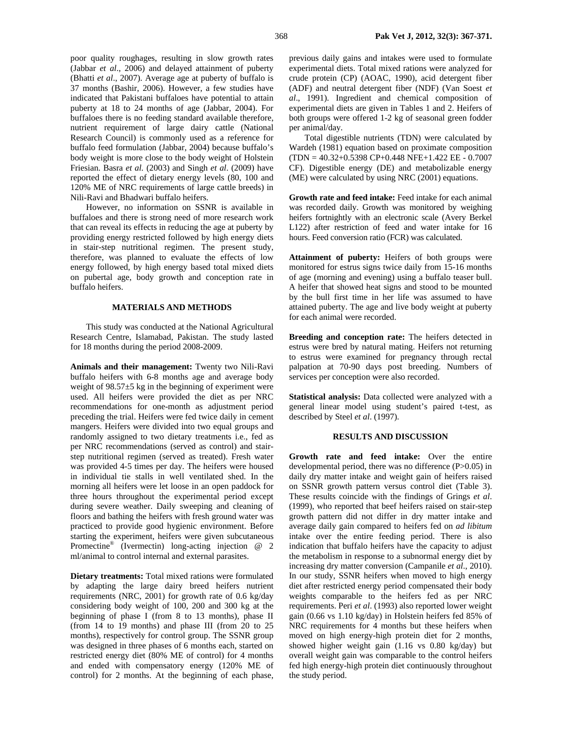poor quality roughages, resulting in slow growth rates (Jabbar *et al*., 2006) and delayed attainment of puberty (Bhatti *et al*., 2007). Average age at puberty of buffalo is 37 months (Bashir, 2006). However, a few studies have indicated that Pakistani buffaloes have potential to attain puberty at 18 to 24 months of age (Jabbar, 2004). For buffaloes there is no feeding standard available therefore, nutrient requirement of large dairy cattle (National Research Council) is commonly used as a reference for buffalo feed formulation (Jabbar, 2004) because buffalo's body weight is more close to the body weight of Holstein Friesian. Basra *et al.* (2003) and Singh *et al*. (2009) have reported the effect of dietary energy levels (80, 100 and 120% ME of NRC requirements of large cattle breeds) in Nili-Ravi and Bhadwari buffalo heifers.

However, no information on SSNR is available in buffaloes and there is strong need of more research work that can reveal its effects in reducing the age at puberty by providing energy restricted followed by high energy diets in stair-step nutritional regimen. The present study, therefore, was planned to evaluate the effects of low energy followed, by high energy based total mixed diets on pubertal age, body growth and conception rate in buffalo heifers.

### **MATERIALS AND METHODS**

This study was conducted at the National Agricultural Research Centre, Islamabad, Pakistan. The study lasted for 18 months during the period 2008-2009.

**Animals and their management:** Twenty two Nili-Ravi buffalo heifers with 6-8 months age and average body weight of 98.57±5 kg in the beginning of experiment were used. All heifers were provided the diet as per NRC recommendations for one-month as adjustment period preceding the trial. Heifers were fed twice daily in cement mangers. Heifers were divided into two equal groups and randomly assigned to two dietary treatments i.e., fed as per NRC recommendations (served as control) and stairstep nutritional regimen (served as treated). Fresh water was provided 4-5 times per day. The heifers were housed in individual tie stalls in well ventilated shed. In the morning all heifers were let loose in an open paddock for three hours throughout the experimental period except during severe weather. Daily sweeping and cleaning of floors and bathing the heifers with fresh ground water was practiced to provide good hygienic environment. Before starting the experiment, heifers were given subcutaneous Promectine® (Ivermectin) long-acting injection @ 2 ml/animal to control internal and external parasites.

**Dietary treatments:** Total mixed rations were formulated by adapting the large dairy breed heifers nutrient requirements (NRC, 2001) for growth rate of 0.6 kg/day considering body weight of 100, 200 and 300 kg at the beginning of phase I (from 8 to 13 months), phase II (from 14 to 19 months) and phase III (from 20 to 25 months), respectively for control group. The SSNR group was designed in three phases of 6 months each, started on restricted energy diet (80% ME of control) for 4 months and ended with compensatory energy (120% ME of control) for 2 months. At the beginning of each phase,

previous daily gains and intakes were used to formulate experimental diets. Total mixed rations were analyzed for crude protein (CP) (AOAC, 1990), acid detergent fiber (ADF) and neutral detergent fiber (NDF) (Van Soest *et al*., 1991). Ingredient and chemical composition of experimental diets are given in Tables 1 and 2. Heifers of both groups were offered 1-2 kg of seasonal green fodder per animal/day.

Total digestible nutrients (TDN) were calculated by Wardeh (1981) equation based on proximate composition (TDN = 40.32+0.5398 CP+0.448 NFE+1.422 EE - 0.7007 CF). Digestible energy (DE) and metabolizable energy (ME) were calculated by using NRC (2001) equations.

**Growth rate and feed intake:** Feed intake for each animal was recorded daily. Growth was monitored by weighing heifers fortnightly with an electronic scale (Avery Berkel L122) after restriction of feed and water intake for 16 hours. Feed conversion ratio (FCR) was calculated.

**Attainment of puberty:** Heifers of both groups were monitored for estrus signs twice daily from 15-16 months of age (morning and evening) using a buffalo teaser bull. A heifer that showed heat signs and stood to be mounted by the bull first time in her life was assumed to have attained puberty. The age and live body weight at puberty for each animal were recorded.

**Breeding and conception rate:** The heifers detected in estrus were bred by natural mating. Heifers not returning to estrus were examined for pregnancy through rectal palpation at 70-90 days post breeding. Numbers of services per conception were also recorded.

**Statistical analysis:** Data collected were analyzed with a general linear model using student's paired t-test, as described by Steel *et al*. (1997).

#### **RESULTS AND DISCUSSION**

**Growth rate and feed intake:** Over the entire developmental period, there was no difference (P>0.05) in daily dry matter intake and weight gain of heifers raised on SSNR growth pattern versus control diet (Table 3). These results coincide with the findings of Grings *et al*. (1999), who reported that beef heifers raised on stair-step growth pattern did not differ in dry matter intake and average daily gain compared to heifers fed on *ad libitum* intake over the entire feeding period. There is also indication that buffalo heifers have the capacity to adjust the metabolism in response to a subnormal energy diet by increasing dry matter conversion (Campanile *et al*., 2010). In our study, SSNR heifers when moved to high energy diet after restricted energy period compensated their body weights comparable to the heifers fed as per NRC requirements. Peri *et al*. (1993) also reported lower weight gain (0.66 vs 1.10 kg/day) in Holstein heifers fed 85% of NRC requirements for 4 months but these heifers when moved on high energy-high protein diet for 2 months, showed higher weight gain (1.16 vs 0.80 kg/day) but overall weight gain was comparable to the control heifers fed high energy-high protein diet continuously throughout the study period.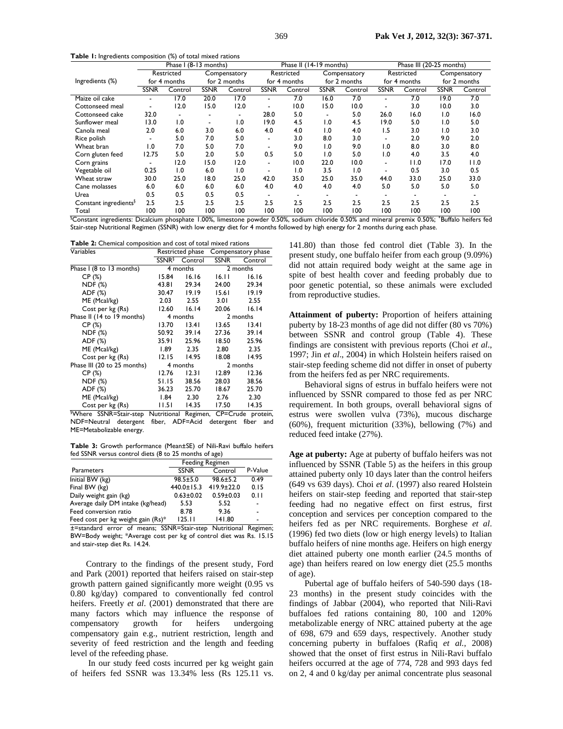**Table 1:** Ingredients composition (%) of total mixed rations

|                                   | Phase I (8-13 months)      |         |                              |                  | Phase II (14-19 months)    |                  |                              |                  | Phase III (20-25 months)   |         |                              |         |
|-----------------------------------|----------------------------|---------|------------------------------|------------------|----------------------------|------------------|------------------------------|------------------|----------------------------|---------|------------------------------|---------|
|                                   | Restricted<br>for 4 months |         | Compensatory<br>for 2 months |                  | Restricted<br>for 4 months |                  | Compensatory<br>for 2 months |                  | Restricted<br>for 4 months |         | Compensatory<br>for 2 months |         |
| Ingredients (%)                   |                            |         |                              |                  |                            |                  |                              |                  |                            |         |                              |         |
|                                   | <b>SSNR</b>                | Control | <b>SSNR</b>                  | Control          | <b>SSNR</b>                | Control          | <b>SSNR</b>                  | Control          | <b>SSNR</b>                | Control | <b>SSNR</b>                  | Control |
| Maize oil cake                    |                            | 17.0    | 20.0                         | 17.0             |                            | 7.0              | 16.0                         | 7.0              |                            | 7.0     | 19.0                         | 7.0     |
| Cottonseed meal                   |                            | 12.0    | 15.0                         | 12.0             |                            | 10.0             | 15.0                         | 10.0             |                            | 3.0     | 10.0                         | 3.0     |
| Cottonseed cake                   | 32.0                       |         |                              |                  | 28.0                       | 5.0              |                              | 5.0              | 26.0                       | 16.0    | $\overline{0}$               | 16.0    |
| Sunflower meal                    | 13.0                       | 1.0     | $\blacksquare$               | $\overline{1.0}$ | 19.0                       | 4.5              | $\overline{0}$ .             | 4.5              | 19.0                       | 5.0     | $\overline{1.0}$             | 5.0     |
| Canola meal                       | 2.0                        | 6.0     | 3.0                          | 6.0              | 4.0                        | 4.0              | 1.0                          | 4.0              | 1.5                        | 3.0     | $\overline{0}$               | 3.0     |
| Rice polish                       |                            | 5.0     | 7.0                          | 5.0              |                            | 3.0              | 8.0                          | 3.0              |                            | 2.0     | 9.0                          | 2.0     |
| Wheat bran                        | $\overline{0}$ .           | 7.0     | 5.0                          | 7.0              | $\overline{\phantom{0}}$   | 9.0              | 1.0                          | 9.0              | 0. ا                       | 8.0     | 3.0                          | 8.0     |
| Corn gluten feed                  | 12.75                      | 5.0     | 2.0                          | 5.0              | 0.5                        | 5.0              | 1.0                          | 5.0              | 1.0                        | 4.0     | 3.5                          | 4.0     |
| Corn grains                       |                            | 12.0    | 15.0                         | 12.0             | $\overline{\phantom{0}}$   | 10.0             | 22.0                         | 10.0             | $\blacksquare$             | 11.0    | 17.0                         | 11.0    |
| Vegetable oil                     | 0.25                       | 1.0     | 6.0                          | 1.0              | $\overline{\phantom{a}}$   | $\overline{1.0}$ | 3.5                          | $\overline{0}$ . |                            | 0.5     | 3.0                          | 0.5     |
| Wheat straw                       | 30.0                       | 25.0    | 18.0                         | 25.0             | 42.0                       | 35.0             | 25.0                         | 35.0             | 44.0                       | 33.0    | 25.0                         | 33.0    |
| Cane molasses                     | 6.0                        | 6.0     | 6.0                          | 6.0              | 4.0                        | 4.0              | 4.0                          | 4.0              | 5.0                        | 5.0     | 5.0                          | 5.0     |
| Urea                              | 0.5                        | 0.5     | 0.5                          | 0.5              |                            |                  |                              |                  |                            |         |                              |         |
| Constant ingredients <sup>§</sup> | 2.5                        | 2.5     | 2.5                          | 2.5              | 2.5                        | 2.5              | 2.5                          | 2.5              | 2.5                        | 2.5     | 2.5                          | 2.5     |
| Total                             | 100                        | 100     | 100                          | 100              | 100                        | 100              | 100                          | 100              | 100                        | 100     | 100                          | 100     |

§ Constant ingredients: Dicalcium phosphate 1.00%, limestone powder 0.50%, sodium chloride 0.50% and mineral premix 0.50%; + Buffalo heifers fed Stair-step Nutritional Regimen (SSNR) with low energy diet for 4 months followed by high energy for 2 months during each phase.

**Table 2:** Chemical composition and cost of total mixed rations

| Variables                                      |                          | Restricted phase | Compensatory phase |                   |  |
|------------------------------------------------|--------------------------|------------------|--------------------|-------------------|--|
|                                                | <b>SSNR</b> <sup>§</sup> | Control          | <b>SSNR</b>        | Control           |  |
| Phase I (8 to 13 months)                       |                          | 4 months         |                    | 2 months          |  |
| CP(%)                                          | 15.84                    | 16.16            | 16.11              | 16.16             |  |
| NDF (%)                                        | 43.81                    | 29.34            | 24.00              | 29.34             |  |
| ADF (%)                                        | 30.47                    | 19.19            | 15.61              | 19.19             |  |
| ME (Mcal/kg)                                   | 2.03                     | 2.55             | 3.01               | 2.55              |  |
| Cost per kg (Rs)                               | 12.60                    | 16.14            | 20.06              | 16.14             |  |
| Phase II (14 to 19 months)                     |                          | 4 months         |                    | 2 months          |  |
| CP(%)                                          | 13.70                    | 13.41            | 13.65              | 13.41             |  |
| <b>NDF (%)</b>                                 | 50.92                    | 39.14            | 27.36              | 39.14             |  |
| ADF (%)                                        | 35.91                    | 25.96            | 18.50              | 25.96             |  |
| ME (Mcal/kg)                                   | l.89                     | 2.35             | 2.80               | 2.35              |  |
| Cost per kg (Rs)                               | 12.15                    | 14.95            | 18.08              | 14.95             |  |
| Phase III (20 to 25 months)                    |                          | 4 months         |                    | 2 months          |  |
| CP(%)                                          | 12.76                    | 12.31            | 12.89              | 12.36             |  |
| NDF (%)                                        | 51.15                    | 38.56            | 28.03              | 38.56             |  |
| ADF (%)                                        | 36.23                    | 25.70            | 18.67              | 25.70             |  |
| ME (Mcal/kg)                                   | l.84                     | 2.30             | 2.76               | 2.30              |  |
| Cost per kg (Rs)                               | 11.51                    | 14.35            | 17.50              | 14.35             |  |
| <sup>§</sup> Where SSNR=Stair-step Nutritional |                          | Regimen,         |                    | CP=Crude protein, |  |

NDF=Neutral detergent fiber, ADF=Acid detergent fiber and ME=Metabolizable energy.

**Table 3:** Growth performance (Mean±SE) of Nili-Ravi buffalo heifers fed SSNR versus control diets (8 to 25 months of age)

|                                    | Feeding Regimen  |                  |         |
|------------------------------------|------------------|------------------|---------|
| Parameters                         | <b>SSNR</b>      | Control          | P-Value |
| Initial BW (kg)                    | $98.5 \pm 5.0$   | $98.6 \pm 5.2$   | 0.49    |
| Final BW (kg)                      | $440.0 \pm 15.3$ | $419.9 \pm 22.0$ | 0.15    |
| Daily weight gain (kg)             | $0.63 \pm 0.02$  | $0.59 + 0.03$    | 0.11    |
| Average daily DM intake (kg/head)  | 5.53             | 5.52             |         |
| Feed conversion ratio              | 8.78             | 9.36             |         |
| Feed cost per kg weight gain (Rs)* | 125.11           | 141.80           |         |

±=standard error of means; SSNR=Stair-step Nutritional Regimen; BW=Body weight; \*Average cost per kg of control diet was Rs. 15.15 and stair-step diet Rs. 14.24.

Contrary to the findings of the present study, Ford and Park (2001) reported that heifers raised on stair-step growth pattern gained significantly more weight (0.95 vs 0.80 kg/day) compared to conventionally fed control heifers. Freetly *et al*. (2001) demonstrated that there are many factors which may influence the response of compensatory growth for heifers undergoing compensatory gain e.g., nutrient restriction, length and severity of feed restriction and the length and feeding level of the refeeding phase.

 In our study feed costs incurred per kg weight gain of heifers fed SSNR was 13.34% less (Rs 125.11 vs.

141.80) than those fed control diet (Table 3). In the present study, one buffalo heifer from each group (9.09%) did not attain required body weight at the same age in spite of best health cover and feeding probably due to poor genetic potential, so these animals were excluded from reproductive studies.

**Attainment of puberty:** Proportion of heifers attaining puberty by 18-23 months of age did not differ (80 vs 70%) between SSNR and control group (Table 4). These findings are consistent with previous reports (Choi *et al*., 1997; Jin *et al*., 2004) in which Holstein heifers raised on stair-step feeding scheme did not differ in onset of puberty from the heifers fed as per NRC requirements.

Behavioral signs of estrus in buffalo heifers were not influenced by SSNR compared to those fed as per NRC requirement. In both groups, overall behavioral signs of estrus were swollen vulva (73%), mucous discharge (60%), frequent micturition (33%), bellowing (7%) and reduced feed intake (27%).

**Age at puberty:** Age at puberty of buffalo heifers was not influenced by SSNR (Table 5) as the heifers in this group attained puberty only 10 days later than the control heifers (649 vs 639 days). Choi *et al*. (1997) also reared Holstein heifers on stair-step feeding and reported that stair-step feeding had no negative effect on first estrus, first conception and services per conception compared to the heifers fed as per NRC requirements. Borghese *et al*. (1996) fed two diets (low or high energy levels) to Italian buffalo heifers of nine months age. Heifers on high energy diet attained puberty one month earlier (24.5 months of age) than heifers reared on low energy diet (25.5 months of age).

Pubertal age of buffalo heifers of 540-590 days (18- 23 months) in the present study coincides with the findings of Jabbar (2004), who reported that Nili-Ravi buffaloes fed rations containing 80, 100 and 120% metabolizable energy of NRC attained puberty at the age of 698, 679 and 659 days, respectively. Another study concerning puberty in buffaloes (Rafiq *et al.,* 2008) showed that the onset of first estrus in Nili-Ravi buffalo heifers occurred at the age of 774, 728 and 993 days fed on 2, 4 and 0 kg/day per animal concentrate plus seasonal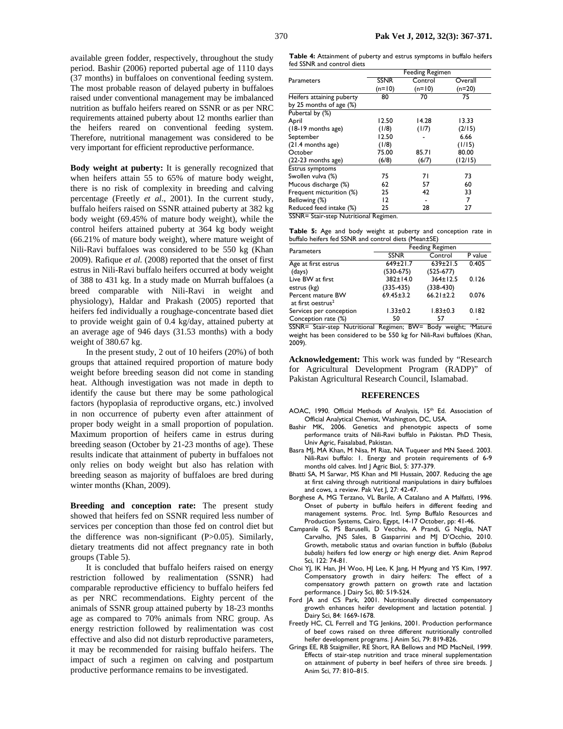available green fodder, respectively, throughout the study period. Bashir (2006) reported pubertal age of 1110 days (37 months) in buffaloes on conventional feeding system. The most probable reason of delayed puberty in buffaloes raised under conventional management may be imbalanced nutrition as buffalo heifers reared on SSNR or as per NRC requirements attained puberty about 12 months earlier than the heifers reared on conventional feeding system. Therefore, nutritional management was considered to be very important for efficient reproductive performance.

**Body weight at puberty:** It is generally recognized that when heifers attain 55 to 65% of mature body weight, there is no risk of complexity in breeding and calving percentage (Freetly *et al*., 2001). In the current study, buffalo heifers raised on SSNR attained puberty at 382 kg body weight (69.45% of mature body weight), while the control heifers attained puberty at 364 kg body weight (66.21% of mature body weight), where mature weight of Nili-Ravi buffaloes was considered to be 550 kg (Khan 2009). Rafique *et al.* (2008) reported that the onset of first estrus in Nili-Ravi buffalo heifers occurred at body weight of 388 to 431 kg. In a study made on Murrah buffaloes (a breed comparable with Nili-Ravi in weight and physiology), Haldar and Prakash (2005) reported that heifers fed individually a roughage-concentrate based diet to provide weight gain of 0.4 kg/day, attained puberty at an average age of 946 days (31.53 months) with a body weight of 380.67 kg.

In the present study, 2 out of 10 heifers (20%) of both groups that attained required proportion of mature body weight before breeding season did not come in standing heat. Although investigation was not made in depth to identify the cause but there may be some pathological factors (hypoplasia of reproductive organs, etc.) involved in non occurrence of puberty even after attainment of proper body weight in a small proportion of population. Maximum proportion of heifers came in estrus during breeding season (October by 21-23 months of age). These results indicate that attainment of puberty in buffaloes not only relies on body weight but also has relation with breeding season as majority of buffaloes are bred during winter months (Khan, 2009).

**Breeding and conception rate:** The present study showed that heifers fed on SSNR required less number of services per conception than those fed on control diet but the difference was non-significant (P>0.05). Similarly, dietary treatments did not affect pregnancy rate in both groups (Table 5).

It is concluded that buffalo heifers raised on energy restriction followed by realimentation (SSNR) had comparable reproductive efficiency to buffalo heifers fed as per NRC recommendations. Eighty percent of the animals of SSNR group attained puberty by 18-23 months age as compared to 70% animals from NRC group. As energy restriction followed by realimentation was cost effective and also did not disturb reproductive parameters, it may be recommended for raising buffalo heifers. The impact of such a regimen on calving and postpartum productive performance remains to be investigated.

**Table 4:** Attainment of puberty and estrus symptoms in buffalo heifers fed SSNR and control diets

|                           |             | <b>Feeding Regimen</b> |          |
|---------------------------|-------------|------------------------|----------|
| Parameters                | <b>SSNR</b> | Control                | Overall  |
|                           | $(n=10)$    | $(n=10)$               | $(n=20)$ |
| Heifers attaining puberty | 80          | 70                     | 75       |
| by 25 months of age (%)   |             |                        |          |
| Pubertal by (%)           |             |                        |          |
| April                     | 12.50       | 14.28                  | 13.33    |
| (18-19 months age)        | (1/8)       | (1/7)                  | (2/15)   |
| September                 | 12.50       |                        | 6.66     |
| (21.4 months age)         | (1/8)       |                        | (1/15)   |
| October                   | 75.00       | 85.71                  | 80.00    |
| (22-23 months age)        | (6/8)       | (6/7)                  | (12/15)  |
| <b>Estrus symptoms</b>    |             |                        |          |
| Swollen vulva (%)         | 75          | 71                     | 73       |
| Mucous discharge (%)      | 62          | 57                     | 60       |
| Frequent micturition (%)  | 25          | 42                     | 33       |
| Bellowing (%)             | 12          |                        | 7        |
| Reduced feed intake (%)   | 25          | 28                     | 27       |

SSNR= Stair-step Nutritional Regimen.

|  |  |  |                                                      | Table 5: Age and body weight at puberty and conception rate in |  |
|--|--|--|------------------------------------------------------|----------------------------------------------------------------|--|
|  |  |  | buffalo heifers fed SSNR and control diets (Mean±SE) |                                                                |  |

| Parameters                                         | <b>Feeding Regimen</b> |                 |         |  |  |  |  |
|----------------------------------------------------|------------------------|-----------------|---------|--|--|--|--|
|                                                    | <b>SSNR</b>            | Control         | P value |  |  |  |  |
| Age at first estrus                                | $649 \pm 21.7$         | $639 \pm 21.5$  | 0.405   |  |  |  |  |
| (days)                                             | $(530-675)$            | $(525-677)$     |         |  |  |  |  |
| Live BW at first                                   | 382±14.0               | 364±12.5        | 0.126   |  |  |  |  |
| estrus (kg)                                        | $(335-435)$            | $(338-430)$     |         |  |  |  |  |
| Percent mature BW<br>at first oestrus <sup>2</sup> | $69.45 \pm 3.2$        | $66.21 \pm 2.2$ | 0.076   |  |  |  |  |
| Services per conception                            | $1.33 \pm 0.2$         | $1.83 \pm 0.3$  | 0.182   |  |  |  |  |
| Conception rate (%)                                | 50                     | 57              |         |  |  |  |  |

SSNR= Stair-step Nutritional Regimen; BW= Body weight; <sup>2</sup>Mature weight has been considered to be 550 kg for Nili-Ravi buffaloes (Khan, 2009).

**Acknowledgement:** This work was funded by "Research for Agricultural Development Program (RADP)" of Pakistan Agricultural Research Council, Islamabad.

#### **REFERENCES**

- AOAC, 1990. Official Methods of Analysis, 15<sup>th</sup> Ed. Association of Official Analytical Chemist, Washington, DC, USA.
- Bashir MK, 2006. Genetics and phenotypic aspects of some performance traits of Nili-Ravi buffalo in Pakistan. PhD Thesis, Univ Agric, Faisalabad, Pakistan.
- Basra MJ, MA Khan, M Nisa, M Riaz, NA Tuqueer and MN Saeed. 2003. Nili-Ravi buffalo: 1. Energy and protein requirements of 6-9 months old calves. Intl J Agric Biol, 5: 377-379.
- Bhatti SA, M Sarwar, MS Khan and MI Hussain, 2007. Reducing the age at first calving through nutritional manipulations in dairy buffaloes and cows, a review. Pak Vet J, 27: 42-47.
- Borghese A, MG Terzano, VL Barile, A Catalano and A Malfatti, 1996. Onset of puberty in buffalo heifers in different feeding and management systems. Proc. Intl. Symp Buffalo Resources and Production Systems, Cairo, Egypt, 14-17 October, pp: 41-46.
- Campanile G, PS Baruselli, D Vecchio, A Prandi, G Neglia, NAT Carvalho, JNS Sales, B Gasparrini and MJ D'Occhio, 2010. Growth, metabolic status and ovarian function in buffalo (*Bubalus bubalis)* heifers fed low energy or high energy diet. Anim Reprod Sci, 122: 74-81.
- Choi YJ, IK Han, JH Woo, HJ Lee, K Jang, H Myung and YS Kim, 1997. Compensatory growth in dairy heifers: The effect of a compensatory growth pattern on growth rate and lactation performance. J Dairy Sci, 80: 519-524.
- Ford JA and CS Park, 2001. Nutritionally directed compensatory growth enhances heifer development and lactation potential. J Dairy Sci, 84: 1669-1678.
- Freetly HC, CL Ferrell and TG Jenkins, 2001. Production performance of beef cows raised on three different nutritionally controlled heifer development programs. J Anim Sci, 79: 819-826.
- Grings EE, RB Staigmiller, RE Short, RA Bellows and MD MacNeil, 1999. Effects of stair-step nutrition and trace mineral supplementation on attainment of puberty in beef heifers of three sire breeds. J Anim Sci, 77: 810–815.